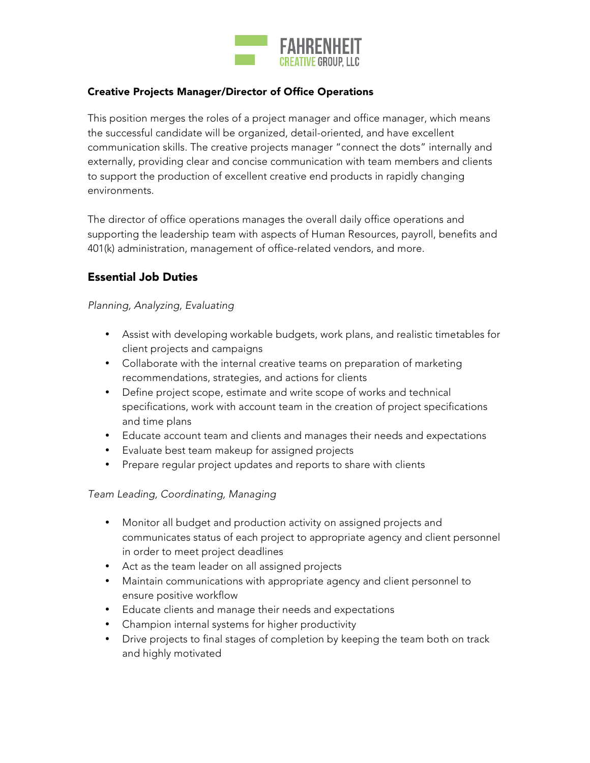

## Creative Projects Manager/Director of Office Operations

This position merges the roles of a project manager and office manager, which means the successful candidate will be organized, detail-oriented, and have excellent communication skills. The creative projects manager "connect the dots" internally and externally, providing clear and concise communication with team members and clients to support the production of excellent creative end products in rapidly changing environments.

The director of office operations manages the overall daily office operations and supporting the leadership team with aspects of Human Resources, payroll, benefits and 401(k) administration, management of office-related vendors, and more.

# Essential Job Duties

### *Planning, Analyzing, Evaluating*

- Assist with developing workable budgets, work plans, and realistic timetables for client projects and campaigns
- Collaborate with the internal creative teams on preparation of marketing recommendations, strategies, and actions for clients
- Define project scope, estimate and write scope of works and technical specifications, work with account team in the creation of project specifications and time plans
- Educate account team and clients and manages their needs and expectations
- Evaluate best team makeup for assigned projects
- Prepare regular project updates and reports to share with clients

### *Team Leading, Coordinating, Managing*

- Monitor all budget and production activity on assigned projects and communicates status of each project to appropriate agency and client personnel in order to meet project deadlines
- Act as the team leader on all assigned projects
- Maintain communications with appropriate agency and client personnel to ensure positive workflow
- Educate clients and manage their needs and expectations
- Champion internal systems for higher productivity
- Drive projects to final stages of completion by keeping the team both on track and highly motivated